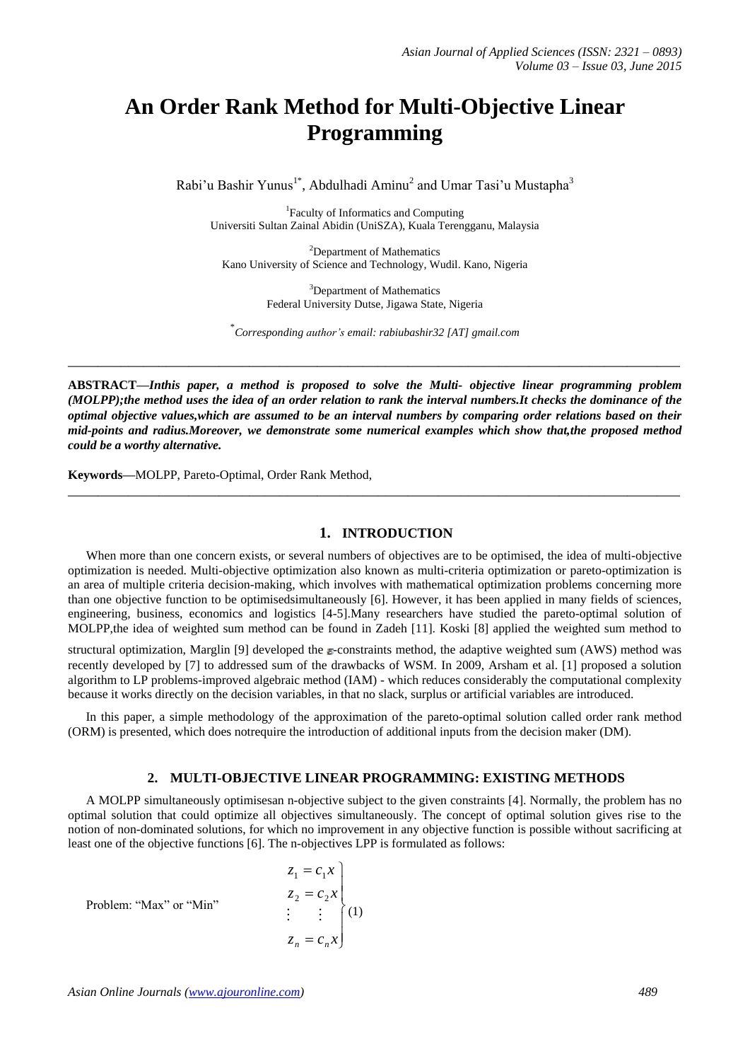# **An Order Rank Method for Multi-Objective Linear Programming**

Rabi'u Bashir Yunus<sup>1\*</sup>, Abdulhadi Aminu<sup>2</sup> and Umar Tasi'u Mustapha<sup>3</sup>

1 Faculty of Informatics and Computing Universiti Sultan Zainal Abidin (UniSZA), Kuala Terengganu, Malaysia

<sup>2</sup>Department of Mathematics Kano University of Science and Technology, Wudil. Kano, Nigeria

> <sup>3</sup>Department of Mathematics Federal University Dutse, Jigawa State, Nigeria

\* *Corresponding author's email: rabiubashir32 [AT] gmail.com*

**\_\_\_\_\_\_\_\_\_\_\_\_\_\_\_\_\_\_\_\_\_\_\_\_\_\_\_\_\_\_\_\_\_\_\_\_\_\_\_\_\_\_\_\_\_\_\_\_\_\_\_\_\_\_\_\_\_\_\_\_\_\_\_\_\_\_\_\_\_\_\_\_\_\_\_\_\_\_\_\_\_**

**ABSTRACT—***Inthis paper, a method is proposed to solve the Multi- objective linear programming problem (MOLPP);the method uses the idea of an order relation to rank the interval numbers.It checks the dominance of the optimal objective values,which are assumed to be an interval numbers by comparing order relations based on their mid-points and radius.Moreover, we demonstrate some numerical examples which show that,the proposed method could be a worthy alternative.*

**\_\_\_\_\_\_\_\_\_\_\_\_\_\_\_\_\_\_\_\_\_\_\_\_\_\_\_\_\_\_\_\_\_\_\_\_\_\_\_\_\_\_\_\_\_\_\_\_\_\_\_\_\_\_\_\_\_\_\_\_\_\_\_\_\_\_\_\_\_\_\_\_\_\_\_\_\_\_\_\_\_**

**Keywords—**MOLPP, Pareto-Optimal, Order Rank Method,

### **1. INTRODUCTION**

When more than one concern exists, or several numbers of objectives are to be optimised, the idea of multi-objective optimization is needed. Multi-objective optimization also known as multi-criteria optimization or pareto-optimization is an area of multiple criteria decision-making, which involves with mathematical optimization problems concerning more than one objective function to be optimisedsimultaneously [6]. However, it has been applied in many fields of sciences, engineering, business, economics and logistics [4-5].Many researchers have studied the pareto-optimal solution of MOLPP,the idea of weighted sum method can be found in Zadeh [11]. Koski [8] applied the weighted sum method to

structural optimization, Marglin [9] developed the  $\varepsilon$ -constraints method, the adaptive weighted sum (AWS) method was recently developed by [7] to addressed sum of the drawbacks of WSM. In 2009, Arsham et al. [1] proposed a solution algorithm to LP problems-improved algebraic method (IAM) - which reduces considerably the computational complexity because it works directly on the decision variables, in that no slack, surplus or artificial variables are introduced.

In this paper, a simple methodology of the approximation of the pareto-optimal solution called order rank method (ORM) is presented, which does notrequire the introduction of additional inputs from the decision maker (DM).

## **2. MULTI-OBJECTIVE LINEAR PROGRAMMING: EXISTING METHODS**

A MOLPP simultaneously optimisesan n-objective subject to the given constraints [4]. Normally, the problem has no optimal solution that could optimize all objectives simultaneously. The concept of optimal solution gives rise to the notion of non-dominated solutions, for which no improvement in any objective function is possible without sacrificing at least one of the objective functions [6]. The n-objectives LPP is formulated as follows:

Problem: "Max" or "Min"

$$
z_1 = c_1 x
$$
  
\n
$$
z_2 = c_2 x
$$
  
\n
$$
\vdots
$$
  
\n
$$
z_n = c_n x
$$
  
\n(1)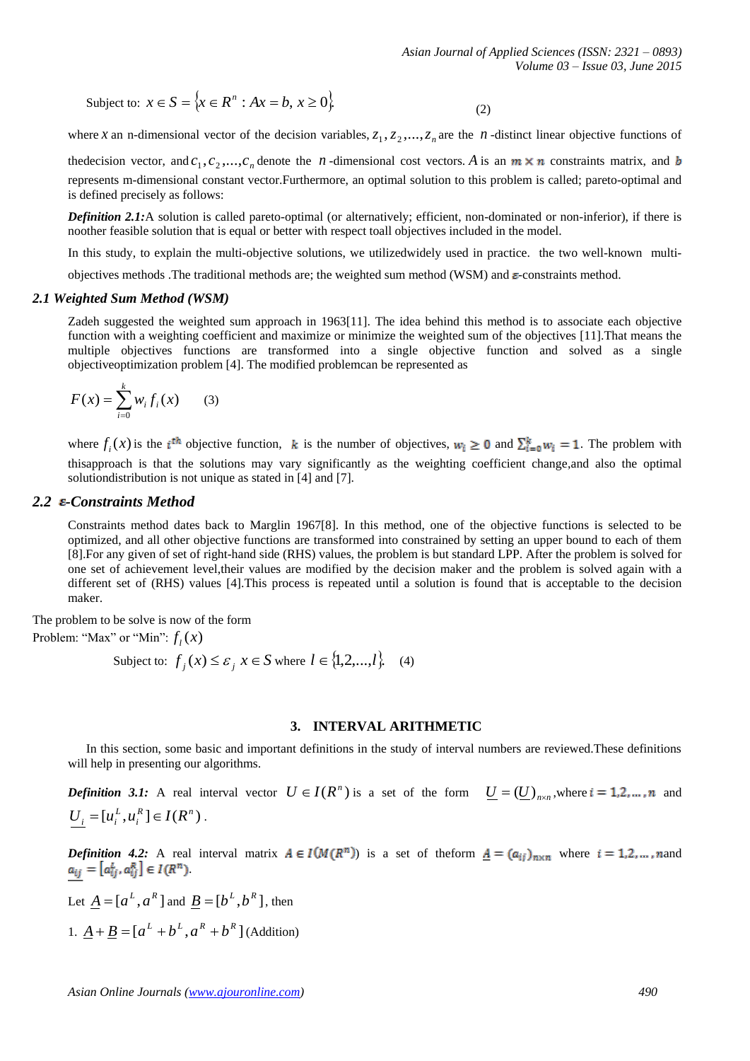$$
Subject to: x \in S = \{x \in R^n : Ax = b, x \ge 0\}.
$$

(2)

where *x* an n-dimensional vector of the decision variables,  $z_1, z_2, ..., z_n$  are the *n*-distinct linear objective functions of

the<br>decision vector, and  $c_1, c_2, ..., c_n$  denote the *n*-dimensional cost vectors. A is an  $m \times n$  constraints matrix, and represents m-dimensional constant vector.Furthermore, an optimal solution to this problem is called; pareto-optimal and is defined precisely as follows:

*Definition 2.1:*A solution is called pareto-optimal (or alternatively; efficient, non-dominated or non-inferior), if there is noother feasible solution that is equal or better with respect toall objectives included in the model.

In this study, to explain the multi-objective solutions, we utilizedwidely used in practice. the two well-known multi-

objectives methods .The traditional methods are; the weighted sum method (WSM) and  $\varepsilon$ -constraints method.

#### *2.1 Weighted Sum Method (WSM)*

Zadeh suggested the weighted sum approach in 1963[11]. The idea behind this method is to associate each objective function with a weighting coefficient and maximize or minimize the weighted sum of the objectives [11].That means the multiple objectives functions are transformed into a single objective function and solved as a single objectiveoptimization problem [4]. The modified problemcan be represented as

$$
F(x) = \sum_{i=0}^{k} w_i f_i(x)
$$
 (3)

where  $f_i(x)$  is the *i*<sup>th</sup> objective function, k is the number of objectives,  $w_i \ge 0$  and  $\sum_{i=0}^{k} w_i = 1$ . The problem with thisapproach is that the solutions may vary significantly as the weighting coefficient change,and also the optimal solutiondistribution is not unique as stated in [4] and [7].

#### 2.2 *E-Constraints Method*

Constraints method dates back to Marglin 1967[8]. In this method, one of the objective functions is selected to be optimized, and all other objective functions are transformed into constrained by setting an upper bound to each of them [8].For any given of set of right-hand side (RHS) values, the problem is but standard LPP. After the problem is solved for one set of achievement level,their values are modified by the decision maker and the problem is solved again with a different set of (RHS) values [4].This process is repeated until a solution is found that is acceptable to the decision maker.

The problem to be solve is now of the form Problem: "Max" or "Min":  $f_l(x)$ 

Subject to:  $f_j(x) \le \varepsilon_j$ ,  $x \in S$  where  $l \in \{1,2,...,l\}$ . (4)

### **3. INTERVAL ARITHMETIC**

In this section, some basic and important definitions in the study of interval numbers are reviewed.These definitions will help in presenting our algorithms.

*Definition* 3.1: A real interval vector  $U \in I(R^n)$  is a set of the form  $\underline{U} = (\underline{U})_{n \times n}$ , where  $i = 1, 2, ..., n$  and  $[u_i^L, u_i^R] \in I(R^n)$  $U_i = [u_i^L, u_i^R] \in I(R^n)$ .

*Definition 4.2:* A real interval matrix  $A \in I(M(R^n))$  is a set of theform  $\underline{A} = (a_{ij})_{n \times n}$  where  $i = 1, 2, ...$ , nand  $a_{ij}=\left[a_{ij}^{L},a_{ij}^{R}\right]\in I(R^{n})$ 

Let  $\underline{A} = [a^L, a^R]$  and  $\underline{B} = [b^L, b^R]$ , then 1.  $\underline{A} + \underline{B} = [a^L + b^L, a^R + b^R]$  (Addition)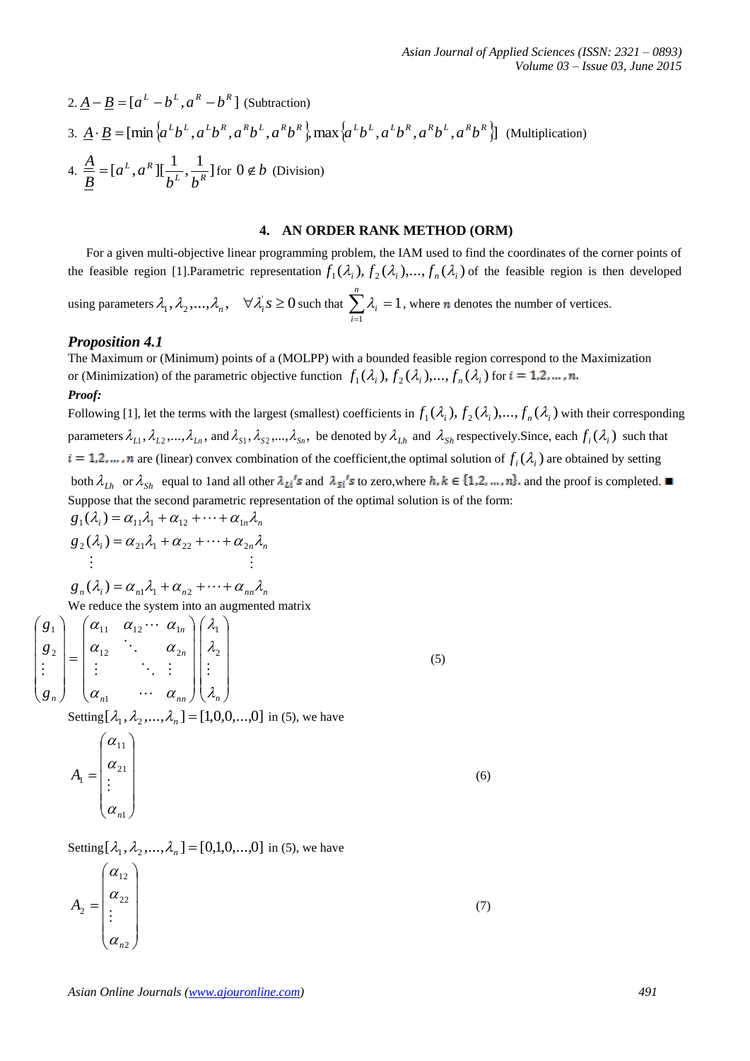2. 
$$
\underline{A} - \underline{B} = [a^L - b^L, a^R - b^R]
$$
 (Subtraction)  
\n3.  $\underline{A} \cdot \underline{B} = [\min \{a^L b^L, a^L b^R, a^R b^L, a^R b^R\}$ , max $\{a^L b^L, a^L b^R, a^R b^L, a^R b^R\}$  (Multiplication)  
\n4.  $\frac{\underline{A}}{\underline{B}} = [a^L, a^R] [\frac{1}{b^L}, \frac{1}{b^R}]$  for  $0 \notin b$  (Division)

# **4. AN ORDER RANK METHOD (ORM)**

For a given multi-objective linear programming problem, the IAM used to find the coordinates of the corner points of the feasible region [1]. Parametric representation  $f_1(\lambda_i)$ ,  $f_2(\lambda_i)$ , ...,  $f_n(\lambda_i)$  of the feasible region is then developed

using parameters  $\lambda_1, \lambda_2, ..., \lambda_n$ ,  $\forall \lambda_i s \ge 0$  such that  $\sum_{i=1}^n \lambda_i =$ *i i* 1  $\lambda_i = 1$ , where *n* denotes the number of vertices.

### *Proposition 4.1*

The Maximum or (Minimum) points of a (MOLPP) with a bounded feasible region correspond to the Maximization or (Minimization) of the parametric objective function  $f_1(\lambda_i)$ ,  $f_2(\lambda_i)$ ,...,  $f_n(\lambda_i)$  for

#### *Proof:*

Following [1], let the terms with the largest (smallest) coefficients in  $f_1(\lambda_i)$ ,  $f_2(\lambda_i)$ , ...,  $f_n(\lambda_i)$  with their corresponding parameters  $\lambda_{L1}$ ,  $\lambda_{L2}$ ,...,  $\lambda_{Ln}$ , and  $\lambda_{S1}$ ,  $\lambda_{S2}$ ,...,  $\lambda_{Sn}$ , be denoted by  $\lambda_{Lh}$  and  $\lambda_{Sh}$  respectively. Since, each  $f_i(\lambda_i)$  such that are (linear) convex combination of the coefficient, the optimal solution of  $f_i(\lambda_i)$  are obtained by setting both  $\lambda_{Lh}$  or  $\lambda_{Sh}$  equal to 1and all other  $\lambda_{Li}$ 's and  $\lambda_{Si}$ 's to zero, where  $h, k \in \{1, 2, ..., n\}$  and the proof is completed. Suppose that the second parametric representation of the optimal solution is of the form:  $g_1(\lambda_i) = \alpha_{11}\lambda_1 + \alpha_{12} + \cdots + \alpha_{1n}\lambda_n$ 

*i n n g* 2 21 1 22 2 ( )

 $g_n(\lambda_i) = \alpha_{n1}\lambda_1 + \alpha_{n2} + \cdots + \alpha_{nn}\lambda_n$ We reduce the system into an augmented matrix

$$
\begin{pmatrix}\n\mathbf{g}_1 \\
\mathbf{g}_2 \\
\vdots \\
\mathbf{g}_n\n\end{pmatrix} = \begin{pmatrix}\n\alpha_{11} & \alpha_{12} & \cdots & \alpha_{1n} \\
\alpha_{12} & \ddots & \alpha_{2n} \\
\vdots & \ddots & \vdots \\
\alpha_{n1} & \cdots & \alpha_{nn}\n\end{pmatrix} \begin{pmatrix}\n\lambda_1 \\
\lambda_2 \\
\vdots \\
\lambda_n\n\end{pmatrix}
$$
\n(5)

Setting  $[\lambda_1, \lambda_2, ..., \lambda_n] = [1, 0, 0, ..., 0]$  in (5), we have

$$
A_{1} = \begin{pmatrix} \alpha_{11} \\ \alpha_{21} \\ \vdots \\ \alpha_{n1} \end{pmatrix}
$$
 (6)

Setting  $[\lambda_1, \lambda_2, ..., \lambda_n] = [0,1,0,...,0]$  in (5), we have

$$
A_2 = \begin{pmatrix} \alpha_{12} \\ \alpha_{22} \\ \vdots \\ \alpha_{n2} \end{pmatrix} \tag{7}
$$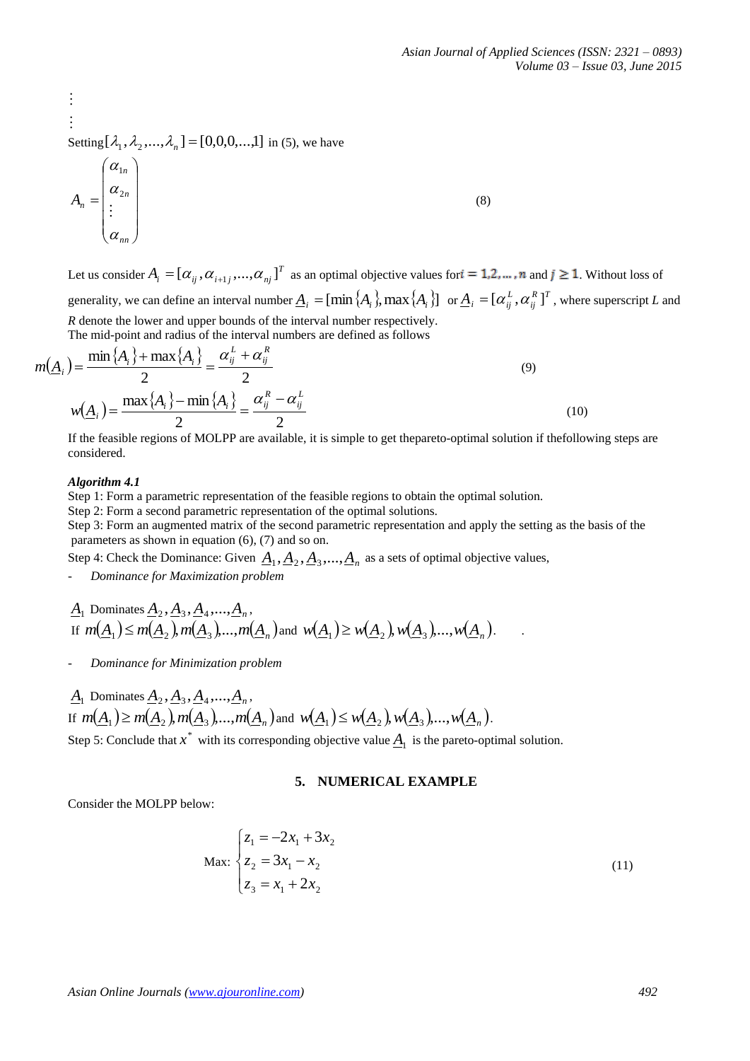(8)

 $\vdots$ Setting  $[\lambda_1, \lambda_2, ..., \lambda_n] = [0, 0, 0, ..., 1]$  in (5), we have

 $\overline{\phantom{a}}$  $\overline{\phantom{a}}$  $\overline{\phantom{a}}$  $\begin{array}{c} \hline \end{array}$ J  $\overline{\phantom{a}}$  $\mathsf{I}$  $\mathsf{I}$  $\int$  $\setminus$  $=$  $\left| \begin{array}{c} \alpha_{2n} \\ 1 \end{array} \right|$ *nn n*  $A_n = \begin{bmatrix} \alpha \\ \vdots \end{bmatrix}$  $\alpha$  $\alpha$  $\vdots$ 2 1

Let us consider  $A_i = [\alpha_{ij}, \alpha_{i+1j}, ..., \alpha_{nj}]^T$  as an optimal objective values for  $i = 1, 2, ..., n$  and  $j \ge 1$ . Without loss of generality, we can define an interval number  $\underline{A}_i = [\min\{A_i\},\max\{A_i\}]$  or  $\underline{A}_i = [\alpha_{ij}^L, \alpha_{ij}^R]^T$  $\underline{A}_i = [\alpha_{ij}^L, \alpha_{ij}^R]^T$ , where superscript *L* and *R* denote the lower and upper bounds of the interval number respectively.

The mid-point and radius of the interval numbers are defined as follows

$$
m(\underline{A}_i) = \frac{\min\{A_i\} + \max\{A_i\}}{2} = \frac{\alpha_{ij}^L + \alpha_{ij}^R}{2}
$$
  
\n
$$
w(\underline{A}_i) = \frac{\max\{A_i\} - \min\{A_i\}}{2} = \frac{\alpha_{ij}^R - \alpha_{ij}^L}{2}
$$
\n(9)

If the feasible regions of MOLPP are available, it is simple to get thepareto-optimal solution if thefollowing steps are considered.

#### *Algorithm 4.1*

 $\vdots$ 

Step 1: Form a parametric representation of the feasible regions to obtain the optimal solution.

Step 2: Form a second parametric representation of the optimal solutions.

Step 3: Form an augmented matrix of the second parametric representation and apply the setting as the basis of the parameters as shown in equation (6), (7) and so on.

Step 4: Check the Dominance: Given  $\underline{A}_1, \underline{A}_2, \underline{A}_3, ..., \underline{A}_n$  as a sets of optimal objective values,

- *Dominance for Maximization problem* 

$$
\underline{A}_1 \text{ Dominates } \underline{A}_2, \underline{A}_3, \underline{A}_4, \dots, \underline{A}_n,
$$
  
If  $m(\underline{A}_1) \le m(\underline{A}_2), m(\underline{A}_3), \dots, m(\underline{A}_n)$  and  $w(\underline{A}_1) \ge w(\underline{A}_2), w(\underline{A}_3), \dots, w(\underline{A}_n)$ .

- *Dominance for Minimization problem*

$$
\underline{A}_1 \text{ Dominates } \underline{A}_2, \underline{A}_3, \underline{A}_4, \dots, \underline{A}_n,
$$
  
If  $m(\underline{A}_1) \ge m(\underline{A}_2), m(\underline{A}_3), \dots, m(\underline{A}_n)$  and  $w(\underline{A}_1) \le w(\underline{A}_2), w(\underline{A}_3), \dots, w(\underline{A}_n)$ .

Step 5: Conclude that  $x^*$  with its corresponding objective value  $\underline{A}_1$  is the pareto-optimal solution.

## **5. NUMERICAL EXAMPLE**

Consider the MOLPP below:

$$
\text{Max:} \begin{cases} z_1 = -2x_1 + 3x_2 \\ z_2 = 3x_1 - x_2 \\ z_3 = x_1 + 2x_2 \end{cases} \tag{11}
$$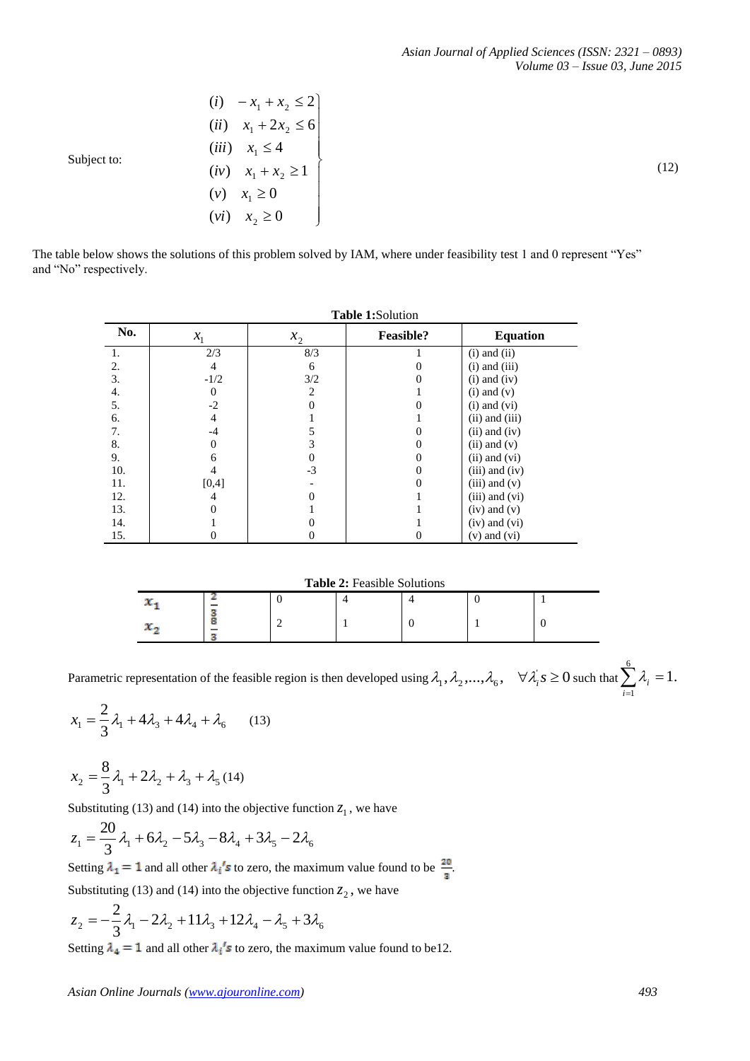(12)

$$
(i) \quad -x_1 + x_2 \le 2
$$
\n
$$
(ii) \quad x_1 + 2x_2 \le 6
$$
\n
$$
(iii) \quad x_1 \le 4
$$
\nSubject to:\n
$$
(iv) \quad x_1 + x_2 \ge 1
$$
\n
$$
(v) \quad x_1 \ge 0
$$
\n
$$
(vi) \quad x_2 \ge 0
$$

The table below shows the solutions of this problem solved by IAM, where under feasibility test 1 and 0 represent "Yes" and "No" respectively.

|     | <b>Table 1:Solution</b> |          |                  |                    |  |  |  |
|-----|-------------------------|----------|------------------|--------------------|--|--|--|
| No. | $x_{1}$                 | $x_2$    | <b>Feasible?</b> | <b>Equation</b>    |  |  |  |
| 1.  | 2/3                     | 8/3      |                  | $(i)$ and $(ii)$   |  |  |  |
| 2.  | 4                       | 6        |                  | $(i)$ and $(iii)$  |  |  |  |
| 3.  | $-1/2$                  | 3/2      |                  | $(i)$ and $(iv)$   |  |  |  |
| 4.  | 0                       | 2        |                  | $(i)$ and $(v)$    |  |  |  |
| 5.  | $-2$                    |          |                  | $(i)$ and $(vi)$   |  |  |  |
| 6.  | 4                       |          |                  | $(ii)$ and $(iii)$ |  |  |  |
| 7.  | $-4$                    | 5        |                  | $(ii)$ and $(iv)$  |  |  |  |
| 8.  | 0                       | 3        | 0                | $(ii)$ and $(v)$   |  |  |  |
| 9.  | 6                       | $\theta$ | $\Omega$         | $(ii)$ and $(vi)$  |  |  |  |
| 10. |                         | $-3$     | 0                | $(iii)$ and $(iv)$ |  |  |  |
| 11. | [0,4]                   |          |                  | $(iii)$ and $(v)$  |  |  |  |
| 12. | 4                       |          |                  | $(iii)$ and $(vi)$ |  |  |  |
| 13. |                         |          |                  | $(iv)$ and $(v)$   |  |  |  |
| 14. |                         | 0        |                  | $(iv)$ and $(vi)$  |  |  |  |
| 15. |                         |          |                  | $(v)$ and $(vi)$   |  |  |  |

**Table 2:** Feasible Solutions

| -      |  |  |  |
|--------|--|--|--|
| $\sim$ |  |  |  |

Parametric representation of the feasible region is then developed using  $\lambda_1, \lambda_2, ..., \lambda_6, \quad \forall \lambda_i s \ge 0$  such that  $\sum_{i=1} \lambda_i =$ 6 1 1. *i*  $\lambda_i$ 

$$
x_1 = \frac{2}{3}\lambda_1 + 4\lambda_3 + 4\lambda_4 + \lambda_6 \qquad (13)
$$

$$
x_2 = \frac{8}{3}\lambda_1 + 2\lambda_2 + \lambda_3 + \lambda_5 \tag{14}
$$

Substituting (13) and (14) into the objective function  $z_1$ , we have

$$
z_1 = \frac{20}{3}\lambda_1 + 6\lambda_2 - 5\lambda_3 - 8\lambda_4 + 3\lambda_5 - 2\lambda_6
$$

Setting  $\lambda_1 = 1$  and all other  $\lambda_i$ 's to zero, the maximum value found to be  $\frac{20}{\lambda}$ . Substituting (13) and (14) into the objective function  $z_2$ , we have

$$
z_2 = -\frac{2}{3}\lambda_1 - 2\lambda_2 + 11\lambda_3 + 12\lambda_4 - \lambda_5 + 3\lambda_6
$$

Setting  $\lambda_4 = 1$  and all other  $\lambda_i$ 's to zero, the maximum value found to be12.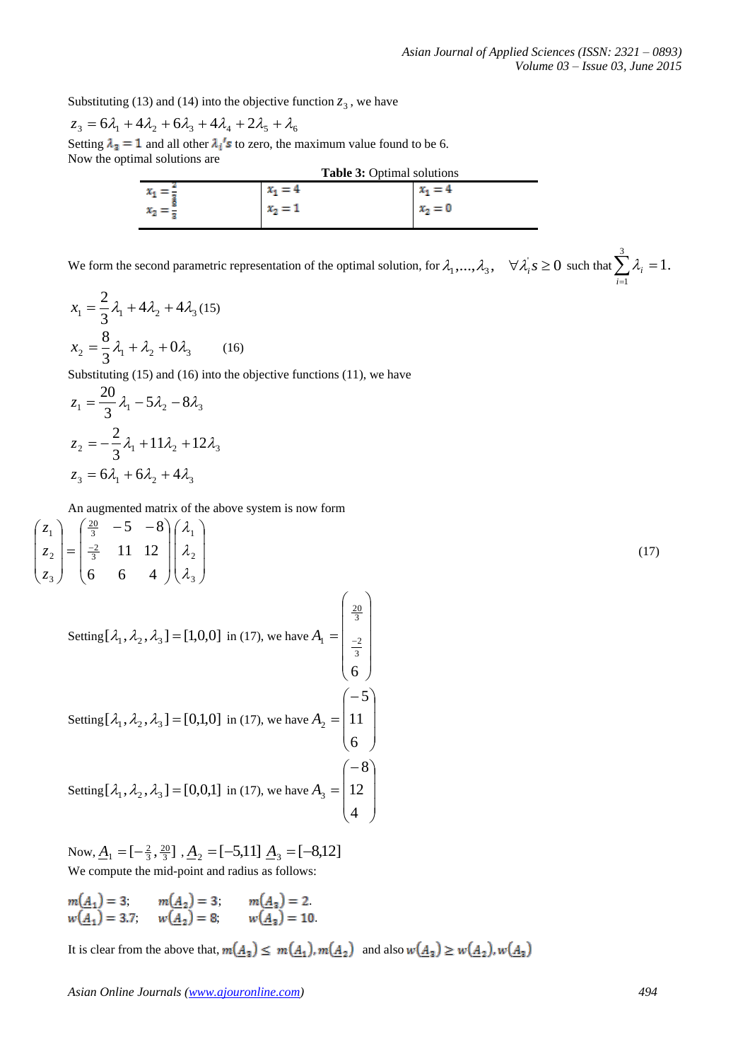1

*i*

Substituting (13) and (14) into the objective function  $z_3$ , we have

$$
z_3 = 6\lambda_1 + 4\lambda_2 + 6\lambda_3 + 4\lambda_4 + 2\lambda_5 + \lambda_6
$$

Setting  $\lambda_3 = 1$  and all other  $\lambda_i$ 's to zero, the maximum value found to be 6. Now the optimal solutions are

| <b>Table 3: Optimal solutions</b> |           |           |  |  |
|-----------------------------------|-----------|-----------|--|--|
| x                                 | $x_1 = 4$ | $x_1 = 4$ |  |  |
| -                                 | $x_2 = 1$ | $x2 = 0$  |  |  |
|                                   |           |           |  |  |

We form the second parametric representation of the optimal solution, for  $\lambda_1, ..., \lambda_3$ ,  $\forall \lambda_i, s \ge 0$  such that  $\sum_{i=1} \lambda_i =$ 3 1.  $\lambda_i$ 

$$
x_1 = \frac{2}{3}\lambda_1 + 4\lambda_2 + 4\lambda_3 (15)
$$
  

$$
x_2 = \frac{8}{3}\lambda_1 + \lambda_2 + 0\lambda_3 \qquad (16)
$$

Substituting (15) and (16) into the objective functions (11), we have

$$
z_1 = \frac{20}{3} \lambda_1 - 5\lambda_2 - 8\lambda_3
$$
  

$$
z_2 = -\frac{2}{3} \lambda_1 + 11\lambda_2 + 12\lambda_3
$$
  

$$
z_3 = 6\lambda_1 + 6\lambda_2 + 4\lambda_3
$$

 $\sim$ 

An augmented matrix of the above system is now form

$$
\begin{pmatrix} z_1 \\ z_2 \\ z_3 \end{pmatrix} = \begin{pmatrix} \frac{20}{3} & -5 & -8 \\ \frac{-2}{3} & 11 & 12 \\ 6 & 6 & 4 \end{pmatrix} \begin{pmatrix} \lambda_1 \\ \lambda_2 \\ \lambda_3 \end{pmatrix}
$$
 (17)

Setting  $[\lambda_1, \lambda_2, \lambda_3] = [1, 0, 0]$  in (17), we have  $\overline{\phantom{a}}$  $\overline{\phantom{a}}$  $\overline{\phantom{a}}$  $\overline{\phantom{a}}$  $\overline{\phantom{a}}$ J  $\mathsf{I}$  $\mathsf{I}$  $\mathsf{I}$  $\mathsf{I}$  $\mathsf{I}$  $\setminus$  $=$   $\vert$   $=$ 6 3 2  $\frac{20}{3}$  $A<sub>1</sub>$ Setting  $[\lambda_1, \lambda_2, \lambda_3] = [0,1,0]$  in (17), we have  $\overline{\phantom{a}}$  $\overline{\phantom{a}}$  $\overline{\phantom{a}}$ J  $\setminus$  $\mathsf{I}$  $\mathsf{I}$  $\mathsf{I}$  $\setminus$  $\left( -\right.$  $=$ 6 11 5  $A<sub>2</sub>$ Setting  $[\lambda_1, \lambda_2, \lambda_3] = [0, 0, 1]$  in (17), we have  $\overline{\phantom{a}}$  $\overline{\phantom{a}}$  $\overline{\phantom{a}}$ J  $\setminus$  $\mathsf{I}$  $\mathsf{I}$  $\mathsf{I}$  $\setminus$  $\left( -\right.$  $=$ 4 12 8  $A<sub>3</sub>$ 

Now,  $\underline{A}_1 = [-\frac{2}{3}, \frac{20}{3}]$ ,  $\underline{A}_2 = [-5, 11]$ ,  $\underline{A}_3 = [-8, 12]$ We compute the mid-point and radius as follows:

;  $m(A_2) = 3$ ;  $m(A_3) = 2$ . ;  $w(A_2) = 8$ ,  $w(A_3) = 10$ .

It is clear from the above that,  $m(\underline{A}_3) \leq m(\underline{A}_1)$ ,  $m(\underline{A}_2)$  and also  $w(\underline{A}_3) \geq w(\underline{A}_2)$ ,  $w(\underline{A}_3)$